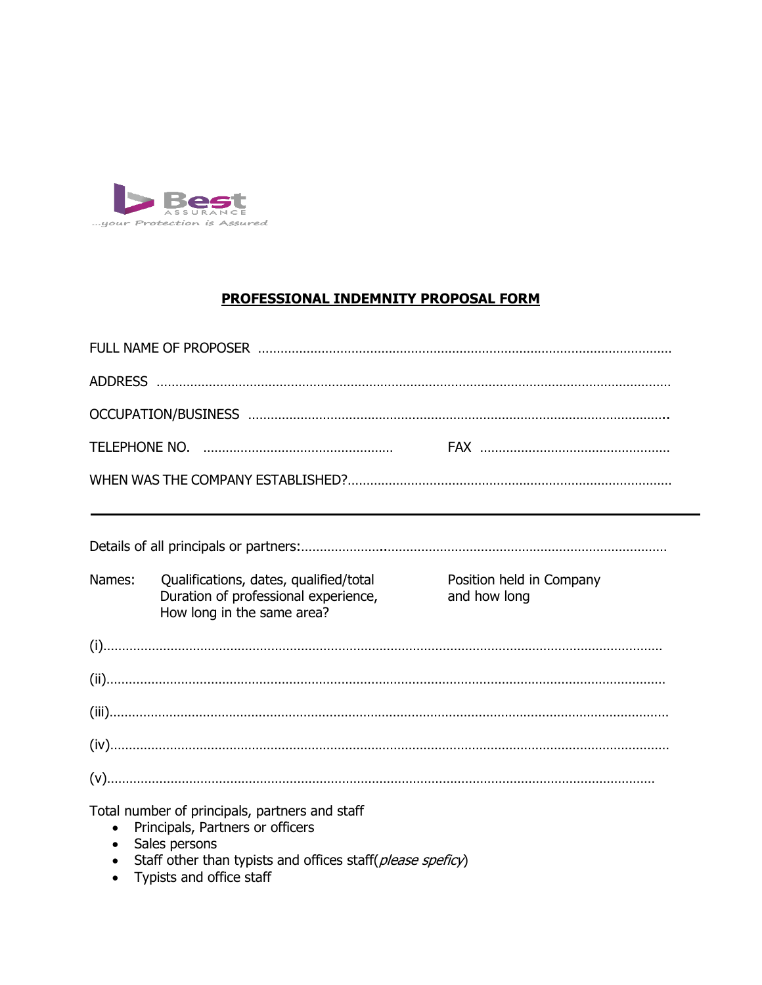

### **PROFESSIONAL INDEMNITY PROPOSAL FORM**

| Names:    | Qualifications, dates, qualified/total<br>Duration of professional experience,<br>How long in the same area? | Position held in Company<br>and how long |
|-----------|--------------------------------------------------------------------------------------------------------------|------------------------------------------|
|           |                                                                                                              |                                          |
|           |                                                                                                              |                                          |
|           |                                                                                                              |                                          |
|           |                                                                                                              |                                          |
|           |                                                                                                              |                                          |
| $\bullet$ | Total number of principals, partners and staff<br>Principals, Partners or officers<br>Sales persons          |                                          |

- Staff other than typists and offices staff(*please speficy*)
- Typists and office staff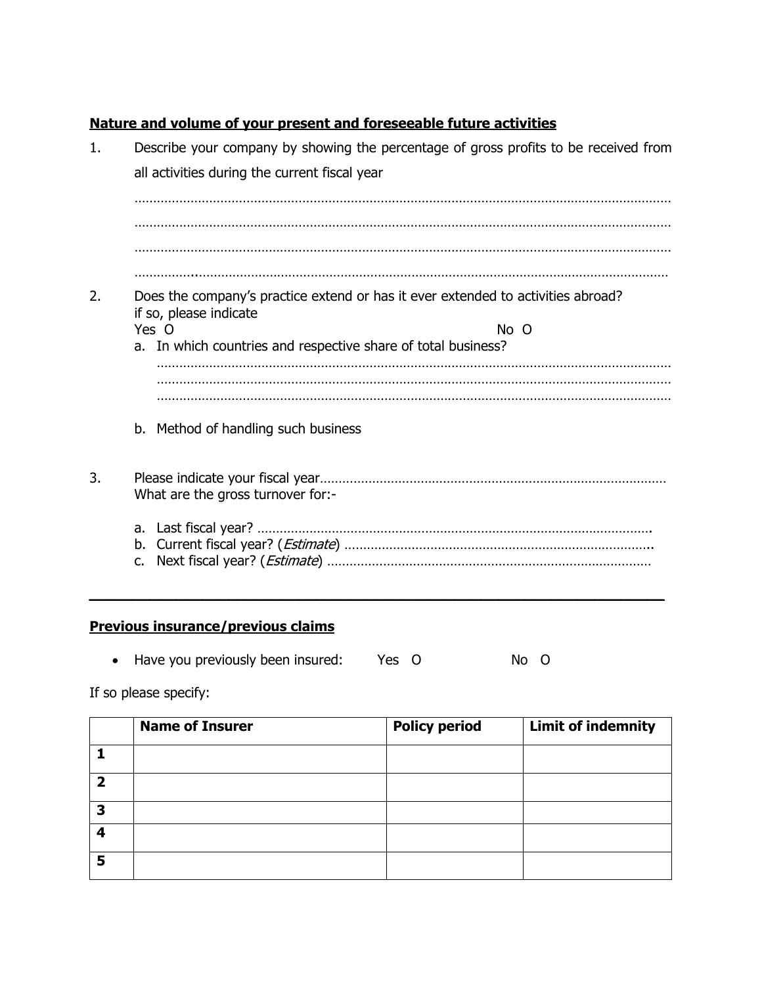# **Nature and volume of your present and foreseeable future activities**

| 1. | Describe your company by showing the percentage of gross profits to be received from                       |  |  |  |  |
|----|------------------------------------------------------------------------------------------------------------|--|--|--|--|
|    | all activities during the current fiscal year                                                              |  |  |  |  |
|    |                                                                                                            |  |  |  |  |
|    |                                                                                                            |  |  |  |  |
|    |                                                                                                            |  |  |  |  |
|    |                                                                                                            |  |  |  |  |
| 2. | Does the company's practice extend or has it ever extended to activities abroad?<br>if so, please indicate |  |  |  |  |
|    | Yes O<br>No O                                                                                              |  |  |  |  |
|    | a. In which countries and respective share of total business?                                              |  |  |  |  |
|    |                                                                                                            |  |  |  |  |
|    |                                                                                                            |  |  |  |  |
|    | b. Method of handling such business                                                                        |  |  |  |  |
| 3. | What are the gross turnover for:-                                                                          |  |  |  |  |
|    | b.<br>c.                                                                                                   |  |  |  |  |

# **Previous insurance/previous claims**

• Have you previously been insured: Yes O No O

If so please specify:

|   | <b>Name of Insurer</b> | <b>Policy period</b> | <b>Limit of indemnity</b> |
|---|------------------------|----------------------|---------------------------|
|   |                        |                      |                           |
| ר |                        |                      |                           |
| 3 |                        |                      |                           |
|   |                        |                      |                           |
| 5 |                        |                      |                           |